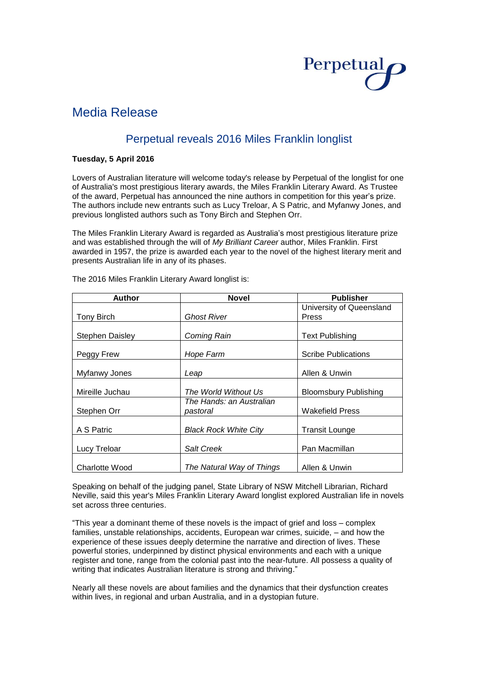# Perpetual

# Media Release

## Perpetual reveals 2016 Miles Franklin longlist

### **Tuesday, 5 April 2016**

Lovers of Australian literature will welcome today's release by Perpetual of the longlist for one of Australia's most prestigious literary awards, the Miles Franklin Literary Award. As Trustee of the award, Perpetual has announced the nine authors in competition for this year's prize. The authors include new entrants such as Lucy Treloar, A S Patric, and Myfanwy Jones, and previous longlisted authors such as Tony Birch and Stephen Orr.

The Miles Franklin Literary Award is regarded as Australia's most prestigious literature prize and was established through the will of *My Brilliant Career* author, Miles Franklin. First awarded in 1957, the prize is awarded each year to the novel of the highest literary merit and presents Australian life in any of its phases.

| <b>Author</b>          | <b>Novel</b>                 | <b>Publisher</b>             |  |
|------------------------|------------------------------|------------------------------|--|
|                        |                              | University of Queensland     |  |
| Tony Birch             | Ghost River                  | Press                        |  |
|                        |                              |                              |  |
| <b>Stephen Daisley</b> | Coming Rain                  | <b>Text Publishing</b>       |  |
|                        |                              |                              |  |
| Peggy Frew             | Hope Farm                    | <b>Scribe Publications</b>   |  |
|                        |                              |                              |  |
| Myfanwy Jones          | Leap                         | Allen & Unwin                |  |
| Mireille Juchau        | The World Without Us         | <b>Bloomsbury Publishing</b> |  |
|                        | The Hands: an Australian     |                              |  |
| Stephen Orr            | pastoral                     | <b>Wakefield Press</b>       |  |
|                        |                              |                              |  |
| A S Patric             | <b>Black Rock White City</b> | <b>Transit Lounge</b>        |  |
|                        |                              |                              |  |
| Lucy Treloar           | <b>Salt Creek</b>            | Pan Macmillan                |  |
| <b>Charlotte Wood</b>  | The Natural Way of Things    | Allen & Unwin                |  |

The 2016 Miles Franklin Literary Award longlist is:

Speaking on behalf of the judging panel, State Library of NSW Mitchell Librarian, Richard Neville, said this year's Miles Franklin Literary Award longlist explored Australian life in novels set across three centuries.

"This year a dominant theme of these novels is the impact of grief and loss – complex families, unstable relationships, accidents, European war crimes, suicide, – and how the experience of these issues deeply determine the narrative and direction of lives. These powerful stories, underpinned by distinct physical environments and each with a unique register and tone, range from the colonial past into the near-future. All possess a quality of writing that indicates Australian literature is strong and thriving."

Nearly all these novels are about families and the dynamics that their dysfunction creates within lives, in regional and urban Australia, and in a dystopian future.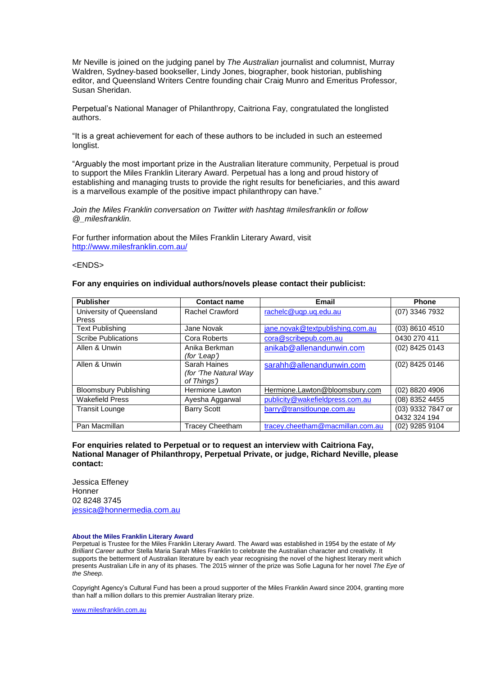Mr Neville is joined on the judging panel by *The Australian* journalist and columnist, Murray Waldren, Sydney-based bookseller, Lindy Jones, biographer, book historian, publishing editor, and Queensland Writers Centre founding chair Craig Munro and Emeritus Professor, Susan Sheridan.

Perpetual's National Manager of Philanthropy, Caitriona Fay, congratulated the longlisted authors.

"It is a great achievement for each of these authors to be included in such an esteemed longlist.

"Arguably the most important prize in the Australian literature community, Perpetual is proud to support the Miles Franklin Literary Award. Perpetual has a long and proud history of establishing and managing trusts to provide the right results for beneficiaries, and this award is a marvellous example of the positive impact philanthropy can have."

*Join the Miles Franklin conversation on Twitter with hashtag #milesfranklin or follow @\_milesfranklin.*

For further information about the Miles Franklin Literary Award, visit <http://www.milesfranklin.com.au/>

<ENDS>

#### **For any enquiries on individual authors/novels please contact their publicist:**

| <b>Publisher</b>             | <b>Contact name</b>    | <b>Email</b>                     | <b>Phone</b>      |
|------------------------------|------------------------|----------------------------------|-------------------|
| University of Queensland     | Rachel Crawford        | rachelc@uqp.uq.edu.au            | (07) 3346 7932    |
| Press                        |                        |                                  |                   |
| <b>Text Publishing</b>       | Jane Novak             | jane.novak@textpublishing.com.au | (03) 8610 4510    |
| <b>Scribe Publications</b>   | Cora Roberts           | cora@scribepub.com.au            | 0430 270 411      |
| Allen & Unwin                | Anika Berkman          | anikab@allenandunwin.com         | (02) 8425 0143    |
|                              | (for 'Leap')           |                                  |                   |
| Allen & Unwin                | Sarah Haines           | sarahh@allenandunwin.com         | (02) 8425 0146    |
|                              | (for 'The Natural Way  |                                  |                   |
|                              | of Things')            |                                  |                   |
| <b>Bloomsbury Publishing</b> | <b>Hermione Lawton</b> | Hermione.Lawton@bloomsbury.com   | (02) 8820 4906    |
| <b>Wakefield Press</b>       | Ayesha Aggarwal        | publicity@wakefieldpress.com.au  | (08) 8352 4455    |
| <b>Transit Lounge</b>        | <b>Barry Scott</b>     | barry@transitlounge.com.au       | (03) 9332 7847 or |
|                              |                        |                                  | 0432 324 194      |
| Pan Macmillan                | <b>Tracey Cheetham</b> | tracey.cheetham@macmillan.com.au | (02) 9285 9104    |

#### **For enquiries related to Perpetual or to request an interview with Caitriona Fay, National Manager of Philanthropy, Perpetual Private, or judge, Richard Neville, please contact:**

Jessica Effeney **Honner** 02 8248 3745 [jessica@honnermedia.com.au](mailto:jessica@honnermedia.com.au)

#### **About the Miles Franklin Literary Award**

Perpetual is Trustee for the Miles Franklin Literary Award. The Award was established in 1954 by the estate of *My Brilliant Career* author Stella Maria Sarah Miles Franklin to celebrate the Australian character and creativity. It supports the betterment of Australian literature by each year recognising the novel of the highest literary merit which presents Australian Life in any of its phases. The 2015 winner of the prize was Sofie Laguna for her novel *The Eye of the Sheep.*

Copyright Agency's Cultural Fund has been a proud supporter of the Miles Franklin Award since 2004, granting more than half a million dollars to this premier Australian literary prize.

[www.milesfranklin.com.au](http://www.milesfranklin.com.au/)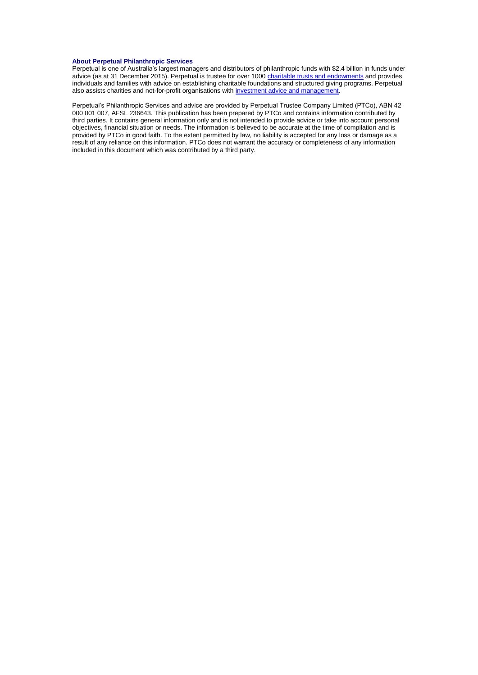#### **About Perpetual Philanthropic Services**

Perpetual is one of Australia's largest managers and distributors of philanthropic funds with \$2.4 billion in funds under advice (as at 31 December 2015). Perpetual is trustee for over 1000 [charitable trusts and endowments](http://www.perpetual.com.au/philanthropy-individuals-and-families.aspx) and provides individuals and families with advice on establishing charitable foundations and structured giving programs. Perpetual also assists charities and not-for-profit organisations wit[h investment advice and management.](http://www.perpetual.com.au/philanthropy-investment-advice-management.aspx)

Perpetual's Philanthropic Services and advice are provided by Perpetual Trustee Company Limited (PTCo), ABN 42 000 001 007, AFSL 236643. This publication has been prepared by PTCo and contains information contributed by third parties. It contains general information only and is not intended to provide advice or take into account personal objectives, financial situation or needs. The information is believed to be accurate at the time of compilation and is provided by PTCo in good faith. To the extent permitted by law, no liability is accepted for any loss or damage as a result of any reliance on this information. PTCo does not warrant the accuracy or completeness of any information included in this document which was contributed by a third party.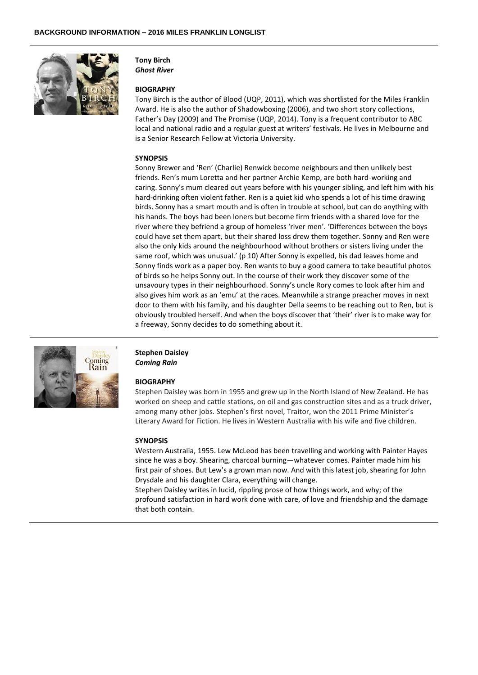

## **Tony Birch**

*Ghost River*

#### **BIOGRAPHY**

Tony Birch is the author of Blood (UQP, 2011), which was shortlisted for the Miles Franklin Award. He is also the author of Shadowboxing (2006), and two short story collections, Father's Day (2009) and The Promise (UQP, 2014). Tony is a frequent contributor to ABC local and national radio and a regular guest at writers' festivals. He lives in Melbourne and is a Senior Research Fellow at Victoria University.

#### **SYNOPSIS**

Sonny Brewer and 'Ren' (Charlie) Renwick become neighbours and then unlikely best friends. Ren's mum Loretta and her partner Archie Kemp, are both hard-working and caring. Sonny's mum cleared out years before with his younger sibling, and left him with his hard-drinking often violent father. Ren is a quiet kid who spends a lot of his time drawing birds. Sonny has a smart mouth and is often in trouble at school, but can do anything with his hands. The boys had been loners but become firm friends with a shared love for the river where they befriend a group of homeless 'river men'. 'Differences between the boys could have set them apart, but their shared loss drew them together. Sonny and Ren were also the only kids around the neighbourhood without brothers or sisters living under the same roof, which was unusual.' (p 10) After Sonny is expelled, his dad leaves home and Sonny finds work as a paper boy. Ren wants to buy a good camera to take beautiful photos of birds so he helps Sonny out. In the course of their work they discover some of the unsavoury types in their neighbourhood. Sonny's uncle Rory comes to look after him and also gives him work as an 'emu' at the races. Meanwhile a strange preacher moves in next door to them with his family, and his daughter Della seems to be reaching out to Ren, but is obviously troubled herself. And when the boys discover that 'their' river is to make way for a freeway, Sonny decides to do something about it.



#### **Stephen Daisley** *Coming Rain*

#### **BIOGRAPHY**

Stephen Daisley was born in 1955 and grew up in the North Island of New Zealand. He has worked on sheep and cattle stations, on oil and gas construction sites and as a truck driver, among many other jobs. Stephen's first novel, Traitor, won the 2011 Prime Minister's Literary Award for Fiction. He lives in Western Australia with his wife and five children.

#### **SYNOPSIS**

Western Australia, 1955. Lew McLeod has been travelling and working with Painter Hayes since he was a boy. Shearing, charcoal burning—whatever comes. Painter made him his first pair of shoes. But Lew's a grown man now. And with this latest job, shearing for John Drysdale and his daughter Clara, everything will change.

Stephen Daisley writes in lucid, rippling prose of how things work, and why; of the profound satisfaction in hard work done with care, of love and friendship and the damage that both contain.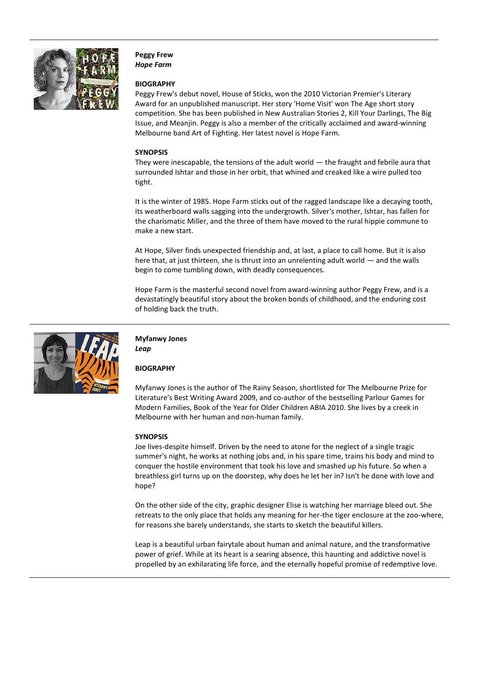

**Peggy Frew** *Hope Farm*

#### **BIOGRAPHY**

Peggy Frew's debut novel, House of Sticks, won the 2010 Victorian Premier's Literary Award for an unpublished manuscript. Her story 'Home Visit' won The Age short story competition. She has been published in New Australian Stories 2, Kill Your Darlings, The Big Issue, and Meanjin. Peggy is also a member of the critically acclaimed and award-winning Melbourne band Art of Fighting. Her latest novel is Hope Farm.

#### **SYNOPSIS**

They were inescapable, the tensions of the adult world — the fraught and febrile aura that surrounded Ishtar and those in her orbit, that whined and creaked like a wire pulled too tight.

It is the winter of 1985. Hope Farm sticks out of the ragged landscape like a decaying tooth, its weatherboard walls sagging into the undergrowth. Silver's mother, Ishtar, has fallen for the charismatic Miller, and the three of them have moved to the rural hippie commune to make a new start.

At Hope, Silver finds unexpected friendship and, at last, a place to call home. But it is also here that, at just thirteen, she is thrust into an unrelenting adult world — and the walls begin to come tumbling down, with deadly consequences.

Hope Farm is the masterful second novel from award-winning author Peggy Frew, and is a devastatingly beautiful story about the broken bonds of childhood, and the enduring cost of holding back the truth.



#### **Myfanwy Jones** *Leap*

#### **BIOGRAPHY**

Myfanwy Jones is the author of The Rainy Season, shortlisted for The Melbourne Prize for Literature's Best Writing Award 2009, and co-author of the bestselling Parlour Games for Modern Families, Book of the Year for Older Children ABIA 2010. She lives by a creek in Melbourne with her human and non-human family.

#### **SYNOPSIS**

Joe lives-despite himself. Driven by the need to atone for the neglect of a single tragic summer's night, he works at nothing jobs and, in his spare time, trains his body and mind to conquer the hostile environment that took his love and smashed up his future. So when a breathless girl turns up on the doorstep, why does he let her in? Isn't he done with love and hope?

On the other side of the city, graphic designer Elise is watching her marriage bleed out. She retreats to the only place that holds any meaning for her-the tiger enclosure at the zoo-where, for reasons she barely understands, she starts to sketch the beautiful killers.

Leap is a beautiful urban fairytale about human and animal nature, and the transformative power of grief. While at its heart is a searing absence, this haunting and addictive novel is propelled by an exhilarating life force, and the eternally hopeful promise of redemptive love.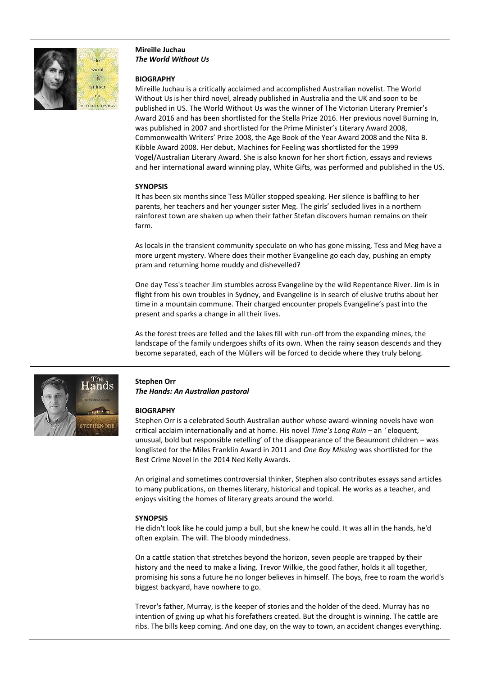

#### **Mireille Juchau** *The World Without Us*

#### **BIOGRAPHY**

Mireille Juchau is a critically acclaimed and accomplished Australian novelist. The World Without Us is her third novel, already published in Australia and the UK and soon to be published in US. The World Without Us was the winner of The Victorian Literary Premier's Award 2016 and has been shortlisted for the Stella Prize 2016. Her previous novel Burning In, was published in 2007 and shortlisted for the Prime Minister's Literary Award 2008, Commonwealth Writers' Prize 2008, the Age Book of the Year Award 2008 and the Nita B. Kibble Award 2008. Her debut, Machines for Feeling was shortlisted for the 1999 Vogel/Australian Literary Award. She is also known for her short fiction, essays and reviews and her international award winning play, White Gifts, was performed and published in the US.

#### **SYNOPSIS**

It has been six months since Tess Müller stopped speaking. Her silence is baffling to her parents, her teachers and her younger sister Meg. The girls' secluded lives in a northern rainforest town are shaken up when their father Stefan discovers human remains on their farm.

As locals in the transient community speculate on who has gone missing, Tess and Meg have a more urgent mystery. Where does their mother Evangeline go each day, pushing an empty pram and returning home muddy and dishevelled?

One day Tess's teacher Jim stumbles across Evangeline by the wild Repentance River. Jim is in flight from his own troubles in Sydney, and Evangeline is in search of elusive truths about her time in a mountain commune. Their charged encounter propels Evangeline's past into the present and sparks a change in all their lives.

As the forest trees are felled and the lakes fill with run-off from the expanding mines, the landscape of the family undergoes shifts of its own. When the rainy season descends and they become separated, each of the Müllers will be forced to decide where they truly belong.



## **Stephen Orr**

*The Hands: An Australian pastoral*

#### **BIOGRAPHY**

Stephen Orr is a celebrated South Australian author whose award-winning novels have won critical acclaim internationally and at home. His novel *Time's Long Ruin –* an *'* eloquent, unusual, bold but responsible retelling' of the disappearance of the Beaumont children – was longlisted for the Miles Franklin Award in 2011 and *One Boy Missing* was shortlisted for the Best Crime Novel in the 2014 Ned Kelly Awards.

An original and sometimes controversial thinker, Stephen also contributes essays sand articles to many publications, on themes literary, historical and topical. He works as a teacher, and enjoys visiting the homes of literary greats around the world.

#### **SYNOPSIS**

He didn't look like he could jump a bull, but she knew he could. It was all in the hands, he'd often explain. The will. The bloody mindedness.

On a cattle station that stretches beyond the horizon, seven people are trapped by their history and the need to make a living. Trevor Wilkie, the good father, holds it all together, promising his sons a future he no longer believes in himself. The boys, free to roam the world's biggest backyard, have nowhere to go.

Trevor's father, Murray, is the keeper of stories and the holder of the deed. Murray has no intention of giving up what his forefathers created. But the drought is winning. The cattle are ribs. The bills keep coming. And one day, on the way to town, an accident changes everything.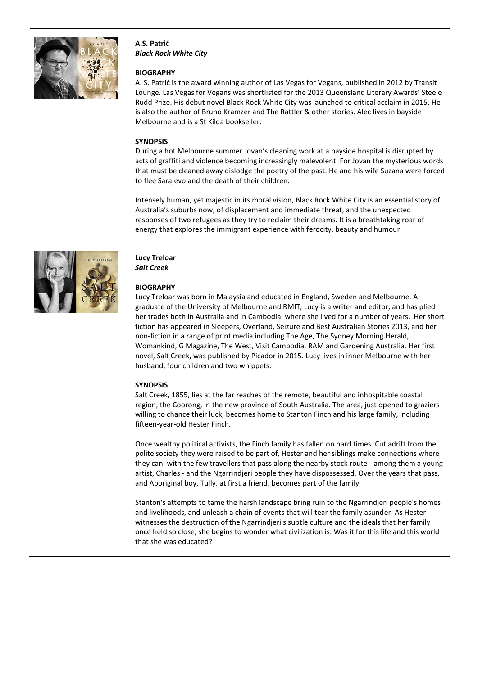

**A.S. Patrić** *Black Rock White City*

#### **BIOGRAPHY**

A. S. Patrić is the award winning author of Las Vegas for Vegans, published in 2012 by Transit Lounge. Las Vegas for Vegans was shortlisted for the 2013 Queensland Literary Awards' Steele Rudd Prize. His debut novel Black Rock White City was launched to critical acclaim in 2015. He is also the author of Bruno Kramzer and The Rattler & other stories. Alec lives in bayside Melbourne and is a St Kilda bookseller.

#### **SYNOPSIS**

During a hot Melbourne summer Jovan's cleaning work at a bayside hospital is disrupted by acts of graffiti and violence becoming increasingly malevolent. For Jovan the mysterious words that must be cleaned away dislodge the poetry of the past. He and his wife Suzana were forced to flee Sarajevo and the death of their children.

Intensely human, yet majestic in its moral vision, Black Rock White City is an essential story of Australia's suburbs now, of displacement and immediate threat, and the unexpected responses of two refugees as they try to reclaim their dreams. It is a breathtaking roar of energy that explores the immigrant experience with ferocity, beauty and humour.



#### **Lucy Treloar** *Salt Creek*

#### **BIOGRAPHY**

Lucy Treloar was born in Malaysia and educated in England, Sweden and Melbourne. A graduate of the University of Melbourne and RMIT, Lucy is a writer and editor, and has plied her trades both in Australia and in Cambodia, where she lived for a number of years. Her short fiction has appeared in Sleepers, Overland, Seizure and Best Australian Stories 2013, and her non-fiction in a range of print media including The Age, The Sydney Morning Herald, Womankind, G Magazine, The West, Visit Cambodia, RAM and Gardening Australia. Her first novel, Salt Creek, was published by Picador in 2015. Lucy lives in inner Melbourne with her husband, four children and two whippets.

#### **SYNOPSIS**

Salt Creek, 1855, lies at the far reaches of the remote, beautiful and inhospitable coastal region, the Coorong, in the new province of South Australia. The area, just opened to graziers willing to chance their luck, becomes home to Stanton Finch and his large family, including fifteen-year-old Hester Finch.

Once wealthy political activists, the Finch family has fallen on hard times. Cut adrift from the polite society they were raised to be part of, Hester and her siblings make connections where they can: with the few travellers that pass along the nearby stock route - among them a young artist, Charles - and the Ngarrindjeri people they have dispossessed. Over the years that pass, and Aboriginal boy, Tully, at first a friend, becomes part of the family.

Stanton's attempts to tame the harsh landscape bring ruin to the Ngarrindjeri people's homes and livelihoods, and unleash a chain of events that will tear the family asunder. As Hester witnesses the destruction of the Ngarrindjeri's subtle culture and the ideals that her family once held so close, she begins to wonder what civilization is. Was it for this life and this world that she was educated?